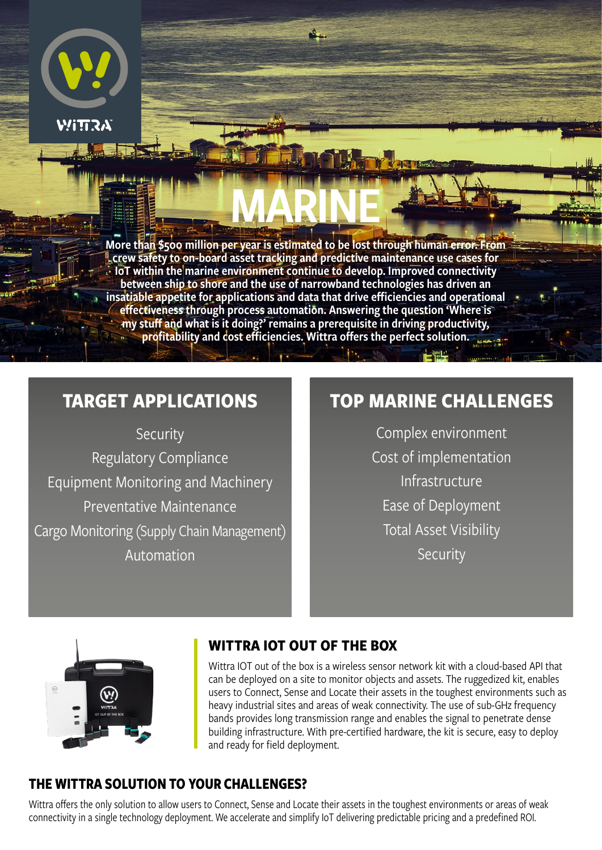

More than \$500 million per year is estimated to be lost through human error. From **Acrew safety to on-board asset tracking and predictive maintenance use cases for** IoT within the marine environment continue to develop. Improved connectivity between ship to shore and the use of narrowband technologies has driven an insatiable appetite for applications and data that drive efficiencies and operational effectiveness through process automation. Answering the question 'Where is my stuff and what is it doing?' remains a prerequisite in driving productivity, profitability and cost efficiencies. Wittra offers the perfect solution.

MARINE

# **TARGET APPLICATIONS**

Security Regulatory Compliance Equipment Monitoring and Machinery Preventative Maintenance Cargo Monitoring (Supply Chain Management) Automation

# **TOP MARINE CHALLENGES**

Complex environment Cost of implementation Infrastructure Ease of Deployment Total Asset Visibility Security



### **WITTRA IOT OUT OF THE BOX**

Wittra IOT out of the box is a wireless sensor network kit with a cloud-based API that can be deployed on a site to monitor objects and assets. The ruggedized kit, enables users to Connect, Sense and Locate their assets in the toughest environments such as heavy industrial sites and areas of weak connectivity. The use of sub-GHz frequency bands provides long transmission range and enables the signal to penetrate dense building infrastructure. With pre-certified hardware, the kit is secure, easy to deploy and ready for field deployment.

### **THE WITTRA SOLUTION TO YOUR CHALLENGES?**

Wittra offers the only solution to allow users to Connect, Sense and Locate their assets in the toughest environments or areas of weak connectivity in a single technology deployment. We accelerate and simplify IoT delivering predictable pricing and a predefined ROI.